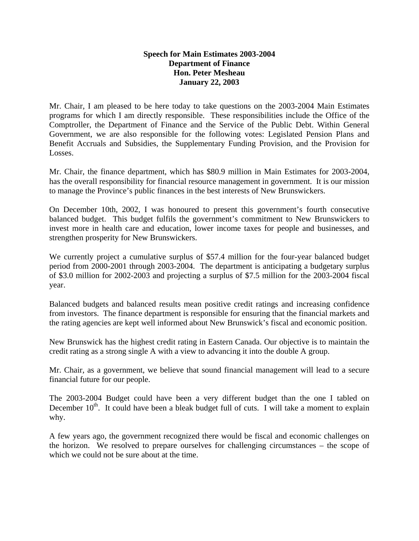## **Speech for Main Estimates 2003-2004 Department of Finance Hon. Peter Mesheau January 22, 2003**

Mr. Chair, I am pleased to be here today to take questions on the 2003-2004 Main Estimates programs for which I am directly responsible. These responsibilities include the Office of the Comptroller, the Department of Finance and the Service of the Public Debt. Within General Government, we are also responsible for the following votes: Legislated Pension Plans and Benefit Accruals and Subsidies, the Supplementary Funding Provision, and the Provision for Losses.

Mr. Chair, the finance department, which has \$80.9 million in Main Estimates for 2003-2004, has the overall responsibility for financial resource management in government. It is our mission to manage the Province's public finances in the best interests of New Brunswickers.

On December 10th, 2002, I was honoured to present this government's fourth consecutive balanced budget. This budget fulfils the government's commitment to New Brunswickers to invest more in health care and education, lower income taxes for people and businesses, and strengthen prosperity for New Brunswickers.

We currently project a cumulative surplus of \$57.4 million for the four-year balanced budget period from 2000-2001 through 2003-2004. The department is anticipating a budgetary surplus of \$3.0 million for 2002-2003 and projecting a surplus of \$7.5 million for the 2003-2004 fiscal year.

Balanced budgets and balanced results mean positive credit ratings and increasing confidence from investors. The finance department is responsible for ensuring that the financial markets and the rating agencies are kept well informed about New Brunswick's fiscal and economic position.

New Brunswick has the highest credit rating in Eastern Canada. Our objective is to maintain the credit rating as a strong single A with a view to advancing it into the double A group.

Mr. Chair, as a government, we believe that sound financial management will lead to a secure financial future for our people.

The 2003-2004 Budget could have been a very different budget than the one I tabled on December  $10<sup>th</sup>$ . It could have been a bleak budget full of cuts. I will take a moment to explain why.

A few years ago, the government recognized there would be fiscal and economic challenges on the horizon. We resolved to prepare ourselves for challenging circumstances – the scope of which we could not be sure about at the time.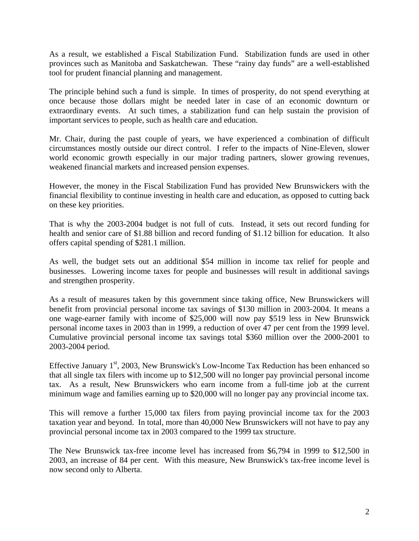As a result, we established a Fiscal Stabilization Fund. Stabilization funds are used in other provinces such as Manitoba and Saskatchewan. These "rainy day funds" are a well-established tool for prudent financial planning and management.

The principle behind such a fund is simple. In times of prosperity, do not spend everything at once because those dollars might be needed later in case of an economic downturn or extraordinary events. At such times, a stabilization fund can help sustain the provision of important services to people, such as health care and education.

Mr. Chair, during the past couple of years, we have experienced a combination of difficult circumstances mostly outside our direct control. I refer to the impacts of Nine-Eleven, slower world economic growth especially in our major trading partners, slower growing revenues, weakened financial markets and increased pension expenses.

However, the money in the Fiscal Stabilization Fund has provided New Brunswickers with the financial flexibility to continue investing in health care and education, as opposed to cutting back on these key priorities.

That is why the 2003-2004 budget is not full of cuts. Instead, it sets out record funding for health and senior care of \$1.88 billion and record funding of \$1.12 billion for education. It also offers capital spending of \$281.1 million.

As well, the budget sets out an additional \$54 million in income tax relief for people and businesses. Lowering income taxes for people and businesses will result in additional savings and strengthen prosperity.

As a result of measures taken by this government since taking office, New Brunswickers will benefit from provincial personal income tax savings of \$130 million in 2003-2004. It means a one wage-earner family with income of \$25,000 will now pay \$519 less in New Brunswick personal income taxes in 2003 than in 1999, a reduction of over 47 per cent from the 1999 level. Cumulative provincial personal income tax savings total \$360 million over the 2000-2001 to 2003-2004 period.

Effective January  $1<sup>st</sup>$ , 2003, New Brunswick's Low-Income Tax Reduction has been enhanced so that all single tax filers with income up to \$12,500 will no longer pay provincial personal income tax. As a result, New Brunswickers who earn income from a full-time job at the current minimum wage and families earning up to \$20,000 will no longer pay any provincial income tax.

This will remove a further 15,000 tax filers from paying provincial income tax for the 2003 taxation year and beyond. In total, more than 40,000 New Brunswickers will not have to pay any provincial personal income tax in 2003 compared to the 1999 tax structure.

The New Brunswick tax-free income level has increased from \$6,794 in 1999 to \$12,500 in 2003, an increase of 84 per cent. With this measure, New Brunswick's tax-free income level is now second only to Alberta.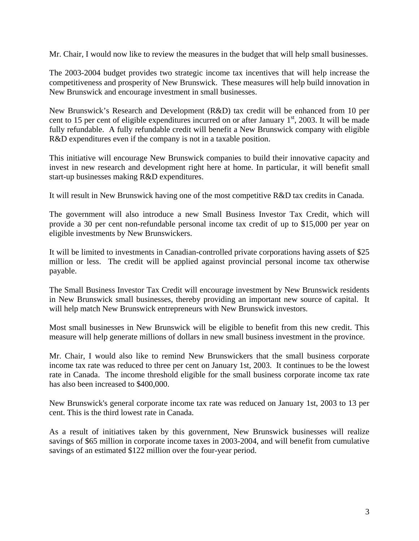Mr. Chair, I would now like to review the measures in the budget that will help small businesses.

The 2003-2004 budget provides two strategic income tax incentives that will help increase the competitiveness and prosperity of New Brunswick. These measures will help build innovation in New Brunswick and encourage investment in small businesses.

New Brunswick's Research and Development (R&D) tax credit will be enhanced from 10 per cent to 15 per cent of eligible expenditures incurred on or after January  $1<sup>st</sup>$ , 2003. It will be made fully refundable. A fully refundable credit will benefit a New Brunswick company with eligible R&D expenditures even if the company is not in a taxable position.

This initiative will encourage New Brunswick companies to build their innovative capacity and invest in new research and development right here at home. In particular, it will benefit small start-up businesses making R&D expenditures.

It will result in New Brunswick having one of the most competitive R&D tax credits in Canada.

The government will also introduce a new Small Business Investor Tax Credit, which will provide a 30 per cent non-refundable personal income tax credit of up to \$15,000 per year on eligible investments by New Brunswickers.

It will be limited to investments in Canadian-controlled private corporations having assets of \$25 million or less. The credit will be applied against provincial personal income tax otherwise payable.

The Small Business Investor Tax Credit will encourage investment by New Brunswick residents in New Brunswick small businesses, thereby providing an important new source of capital. It will help match New Brunswick entrepreneurs with New Brunswick investors.

Most small businesses in New Brunswick will be eligible to benefit from this new credit. This measure will help generate millions of dollars in new small business investment in the province.

Mr. Chair, I would also like to remind New Brunswickers that the small business corporate income tax rate was reduced to three per cent on January 1st, 2003. It continues to be the lowest rate in Canada. The income threshold eligible for the small business corporate income tax rate has also been increased to \$400,000.

New Brunswick's general corporate income tax rate was reduced on January 1st, 2003 to 13 per cent. This is the third lowest rate in Canada.

As a result of initiatives taken by this government, New Brunswick businesses will realize savings of \$65 million in corporate income taxes in 2003-2004, and will benefit from cumulative savings of an estimated \$122 million over the four-year period.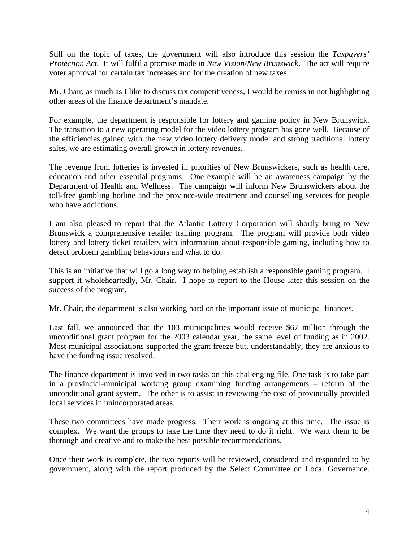Still on the topic of taxes, the government will also introduce this session the *Taxpayers' Protection Act.* It will fulfil a promise made in *New Vision/New Brunswick*. The act will require voter approval for certain tax increases and for the creation of new taxes.

Mr. Chair, as much as I like to discuss tax competitiveness, I would be remiss in not highlighting other areas of the finance department's mandate.

For example, the department is responsible for lottery and gaming policy in New Brunswick. The transition to a new operating model for the video lottery program has gone well. Because of the efficiencies gained with the new video lottery delivery model and strong traditional lottery sales, we are estimating overall growth in lottery revenues.

The revenue from lotteries is invested in priorities of New Brunswickers, such as health care, education and other essential programs. One example will be an awareness campaign by the Department of Health and Wellness. The campaign will inform New Brunswickers about the toll-free gambling hotline and the province-wide treatment and counselling services for people who have addictions.

I am also pleased to report that the Atlantic Lottery Corporation will shortly bring to New Brunswick a comprehensive retailer training program. The program will provide both video lottery and lottery ticket retailers with information about responsible gaming, including how to detect problem gambling behaviours and what to do.

This is an initiative that will go a long way to helping establish a responsible gaming program. I support it wholeheartedly, Mr. Chair. I hope to report to the House later this session on the success of the program.

Mr. Chair, the department is also working hard on the important issue of municipal finances.

Last fall, we announced that the 103 municipalities would receive \$67 million through the unconditional grant program for the 2003 calendar year, the same level of funding as in 2002. Most municipal associations supported the grant freeze but, understandably, they are anxious to have the funding issue resolved.

The finance department is involved in two tasks on this challenging file. One task is to take part in a provincial-municipal working group examining funding arrangements – reform of the unconditional grant system. The other is to assist in reviewing the cost of provincially provided local services in unincorporated areas.

These two committees have made progress. Their work is ongoing at this time. The issue is complex. We want the groups to take the time they need to do it right. We want them to be thorough and creative and to make the best possible recommendations.

Once their work is complete, the two reports will be reviewed, considered and responded to by government, along with the report produced by the Select Committee on Local Governance.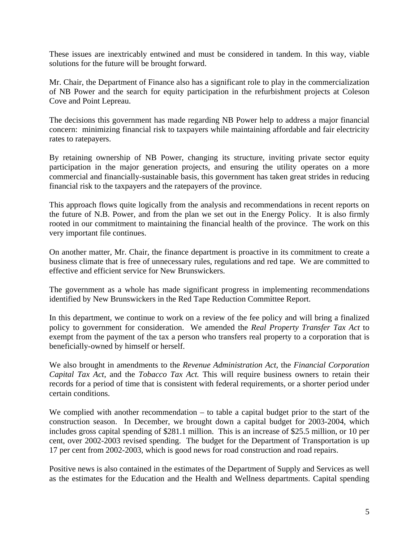These issues are inextricably entwined and must be considered in tandem. In this way, viable solutions for the future will be brought forward.

Mr. Chair, the Department of Finance also has a significant role to play in the commercialization of NB Power and the search for equity participation in the refurbishment projects at Coleson Cove and Point Lepreau.

The decisions this government has made regarding NB Power help to address a major financial concern: minimizing financial risk to taxpayers while maintaining affordable and fair electricity rates to ratepayers.

By retaining ownership of NB Power, changing its structure, inviting private sector equity participation in the major generation projects, and ensuring the utility operates on a more commercial and financially-sustainable basis, this government has taken great strides in reducing financial risk to the taxpayers and the ratepayers of the province.

This approach flows quite logically from the analysis and recommendations in recent reports on the future of N.B. Power, and from the plan we set out in the Energy Policy. It is also firmly rooted in our commitment to maintaining the financial health of the province. The work on this very important file continues.

On another matter, Mr. Chair, the finance department is proactive in its commitment to create a business climate that is free of unnecessary rules, regulations and red tape. We are committed to effective and efficient service for New Brunswickers.

The government as a whole has made significant progress in implementing recommendations identified by New Brunswickers in the Red Tape Reduction Committee Report.

In this department, we continue to work on a review of the fee policy and will bring a finalized policy to government for consideration. We amended the *Real Property Transfer Tax Act* to exempt from the payment of the tax a person who transfers real property to a corporation that is beneficially-owned by himself or herself.

We also brought in amendments to the *Revenue Administration Act*, the *Financial Corporation Capital Tax Act*, and the *Tobacco Tax Act.* This will require business owners to retain their records for a period of time that is consistent with federal requirements, or a shorter period under certain conditions.

We complied with another recommendation – to table a capital budget prior to the start of the construction season. In December, we brought down a capital budget for 2003-2004, which includes gross capital spending of \$281.1 million. This is an increase of \$25.5 million, or 10 per cent, over 2002-2003 revised spending. The budget for the Department of Transportation is up 17 per cent from 2002-2003, which is good news for road construction and road repairs.

Positive news is also contained in the estimates of the Department of Supply and Services as well as the estimates for the Education and the Health and Wellness departments. Capital spending